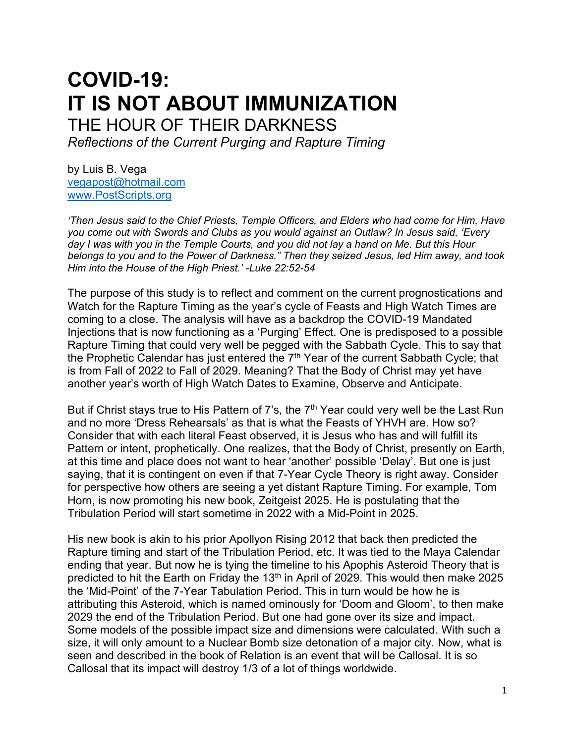# **COVID-19: IT IS NOT ABOUT IMMUNIZATION**

THE HOUR OF THEIR DARKNESS

*Reflections of the Current Purging and Rapture Timing*

by Luis B. Vega [vegapost@hotmail.com](mailto:vegapost@hotmail.com) [www.PostScripts.org](http://www.postscripts.org/)

*'Then Jesus said to the Chief Priests, Temple Officers, and Elders who had come for Him, Have you come out with Swords and Clubs as you would against an Outlaw? In Jesus said, 'Every day I was with you in the Temple Courts, and you did not lay a hand on Me. But this Hour belongs to you and to the Power of Darkness." Then they seized Jesus, led Him away, and took Him into the House of the High Priest.' -Luke 22:52-54*

The purpose of this study is to reflect and comment on the current prognostications and Watch for the Rapture Timing as the year's cycle of Feasts and High Watch Times are coming to a close. The analysis will have as a backdrop the COVID-19 Mandated Injections that is now functioning as a 'Purging' Effect. One is predisposed to a possible Rapture Timing that could very well be pegged with the Sabbath Cycle. This to say that the Prophetic Calendar has just entered the  $7<sup>th</sup>$  Year of the current Sabbath Cycle; that is from Fall of 2022 to Fall of 2029. Meaning? That the Body of Christ may yet have another year's worth of High Watch Dates to Examine, Observe and Anticipate.

But if Christ stays true to His Pattern of 7's, the 7<sup>th</sup> Year could very well be the Last Run and no more 'Dress Rehearsals' as that is what the Feasts of YHVH are. How so? Consider that with each literal Feast observed, it is Jesus who has and will fulfill its Pattern or intent, prophetically. One realizes, that the Body of Christ, presently on Earth, at this time and place does not want to hear 'another' possible 'Delay'. But one is just saying, that it is contingent on even if that 7-Year Cycle Theory is right away. Consider for perspective how others are seeing a yet distant Rapture Timing. For example, Tom Horn, is now promoting his new book, Zeitgeist 2025. He is postulating that the Tribulation Period will start sometime in 2022 with a Mid-Point in 2025.

His new book is akin to his prior Apollyon Rising 2012 that back then predicted the Rapture timing and start of the Tribulation Period, etc. It was tied to the Maya Calendar ending that year. But now he is tying the timeline to his Apophis Asteroid Theory that is predicted to hit the Earth on Friday the 13<sup>th</sup> in April of 2029. This would then make 2025 the 'Mid-Point' of the 7-Year Tabulation Period. This in turn would be how he is attributing this Asteroid, which is named ominously for 'Doom and Gloom', to then make 2029 the end of the Tribulation Period. But one had gone over its size and impact. Some models of the possible impact size and dimensions were calculated. With such a size, it will only amount to a Nuclear Bomb size detonation of a major city. Now, what is seen and described in the book of Relation is an event that will be Callosal. It is so Callosal that its impact will destroy 1/3 of a lot of things worldwide.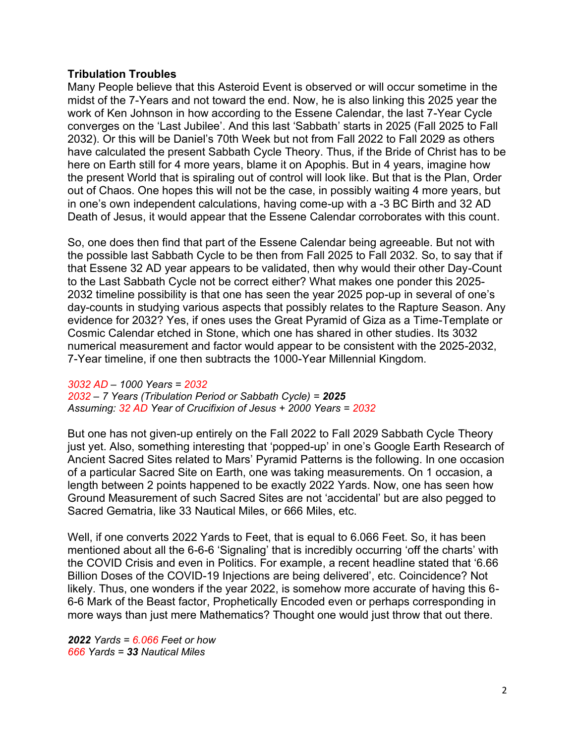## **Tribulation Troubles**

Many People believe that this Asteroid Event is observed or will occur sometime in the midst of the 7-Years and not toward the end. Now, he is also linking this 2025 year the work of Ken Johnson in how according to the Essene Calendar, the last 7-Year Cycle converges on the 'Last Jubilee'. And this last 'Sabbath' starts in 2025 (Fall 2025 to Fall 2032). Or this will be Daniel's 70th Week but not from Fall 2022 to Fall 2029 as others have calculated the present Sabbath Cycle Theory. Thus, if the Bride of Christ has to be here on Earth still for 4 more years, blame it on Apophis. But in 4 years, imagine how the present World that is spiraling out of control will look like. But that is the Plan, Order out of Chaos. One hopes this will not be the case, in possibly waiting 4 more years, but in one's own independent calculations, having come-up with a -3 BC Birth and 32 AD Death of Jesus, it would appear that the Essene Calendar corroborates with this count.

So, one does then find that part of the Essene Calendar being agreeable. But not with the possible last Sabbath Cycle to be then from Fall 2025 to Fall 2032. So, to say that if that Essene 32 AD year appears to be validated, then why would their other Day-Count to the Last Sabbath Cycle not be correct either? What makes one ponder this 2025- 2032 timeline possibility is that one has seen the year 2025 pop-up in several of one's day-counts in studying various aspects that possibly relates to the Rapture Season. Any evidence for 2032? Yes, if ones uses the Great Pyramid of Giza as a Time-Template or Cosmic Calendar etched in Stone, which one has shared in other studies. Its 3032 numerical measurement and factor would appear to be consistent with the 2025-2032, 7-Year timeline, if one then subtracts the 1000-Year Millennial Kingdom.

*3032 AD – 1000 Years = 2032 2032 – 7 Years (Tribulation Period or Sabbath Cycle) = 2025 Assuming: 32 AD Year of Crucifixion of Jesus + 2000 Years = 2032*

But one has not given-up entirely on the Fall 2022 to Fall 2029 Sabbath Cycle Theory just yet. Also, something interesting that 'popped-up' in one's Google Earth Research of Ancient Sacred Sites related to Mars' Pyramid Patterns is the following. In one occasion of a particular Sacred Site on Earth, one was taking measurements. On 1 occasion, a length between 2 points happened to be exactly 2022 Yards. Now, one has seen how Ground Measurement of such Sacred Sites are not 'accidental' but are also pegged to Sacred Gematria, like 33 Nautical Miles, or 666 Miles, etc.

Well, if one converts 2022 Yards to Feet, that is equal to 6.066 Feet. So, it has been mentioned about all the 6-6-6 'Signaling' that is incredibly occurring 'off the charts' with the COVID Crisis and even in Politics. For example, a recent headline stated that '6.66 Billion Doses of the COVID-19 Injections are being delivered', etc. Coincidence? Not likely. Thus, one wonders if the year 2022, is somehow more accurate of having this 6- 6-6 Mark of the Beast factor, Prophetically Encoded even or perhaps corresponding in more ways than just mere Mathematics? Thought one would just throw that out there.

*2022 Yards = 6.066 Feet or how 666 Yards = 33 Nautical Miles*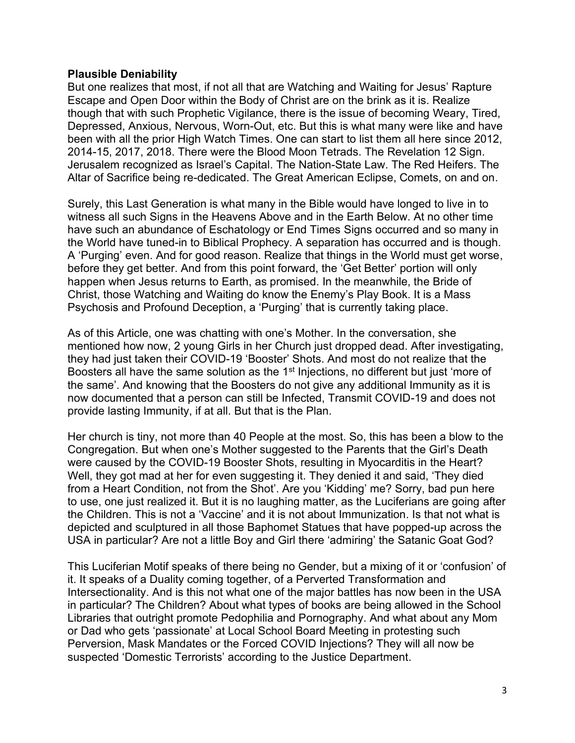## **Plausible Deniability**

But one realizes that most, if not all that are Watching and Waiting for Jesus' Rapture Escape and Open Door within the Body of Christ are on the brink as it is. Realize though that with such Prophetic Vigilance, there is the issue of becoming Weary, Tired, Depressed, Anxious, Nervous, Worn-Out, etc. But this is what many were like and have been with all the prior High Watch Times. One can start to list them all here since 2012, 2014-15, 2017, 2018. There were the Blood Moon Tetrads. The Revelation 12 Sign. Jerusalem recognized as Israel's Capital. The Nation-State Law. The Red Heifers. The Altar of Sacrifice being re-dedicated. The Great American Eclipse, Comets, on and on.

Surely, this Last Generation is what many in the Bible would have longed to live in to witness all such Signs in the Heavens Above and in the Earth Below. At no other time have such an abundance of Eschatology or End Times Signs occurred and so many in the World have tuned-in to Biblical Prophecy. A separation has occurred and is though. A 'Purging' even. And for good reason. Realize that things in the World must get worse, before they get better. And from this point forward, the 'Get Better' portion will only happen when Jesus returns to Earth, as promised. In the meanwhile, the Bride of Christ, those Watching and Waiting do know the Enemy's Play Book. It is a Mass Psychosis and Profound Deception, a 'Purging' that is currently taking place.

As of this Article, one was chatting with one's Mother. In the conversation, she mentioned how now, 2 young Girls in her Church just dropped dead. After investigating, they had just taken their COVID-19 'Booster' Shots. And most do not realize that the Boosters all have the same solution as the 1<sup>st</sup> Injections, no different but just 'more of the same'. And knowing that the Boosters do not give any additional Immunity as it is now documented that a person can still be Infected, Transmit COVID-19 and does not provide lasting Immunity, if at all. But that is the Plan.

Her church is tiny, not more than 40 People at the most. So, this has been a blow to the Congregation. But when one's Mother suggested to the Parents that the Girl's Death were caused by the COVID-19 Booster Shots, resulting in Myocarditis in the Heart? Well, they got mad at her for even suggesting it. They denied it and said, 'They died from a Heart Condition, not from the Shot'. Are you 'Kidding' me? Sorry, bad pun here to use, one just realized it. But it is no laughing matter, as the Luciferians are going after the Children. This is not a 'Vaccine' and it is not about Immunization. Is that not what is depicted and sculptured in all those Baphomet Statues that have popped-up across the USA in particular? Are not a little Boy and Girl there 'admiring' the Satanic Goat God?

This Luciferian Motif speaks of there being no Gender, but a mixing of it or 'confusion' of it. It speaks of a Duality coming together, of a Perverted Transformation and Intersectionality. And is this not what one of the major battles has now been in the USA in particular? The Children? About what types of books are being allowed in the School Libraries that outright promote Pedophilia and Pornography. And what about any Mom or Dad who gets 'passionate' at Local School Board Meeting in protesting such Perversion, Mask Mandates or the Forced COVID Injections? They will all now be suspected 'Domestic Terrorists' according to the Justice Department.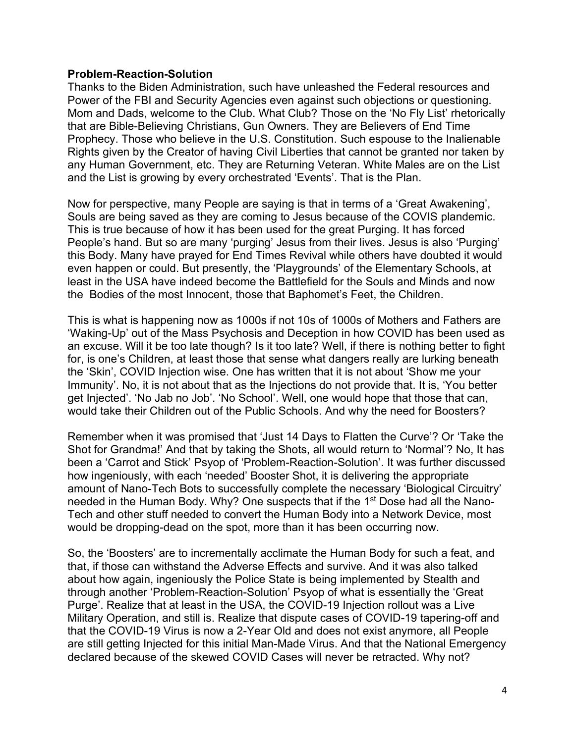### **Problem-Reaction-Solution**

Thanks to the Biden Administration, such have unleashed the Federal resources and Power of the FBI and Security Agencies even against such objections or questioning. Mom and Dads, welcome to the Club. What Club? Those on the 'No Fly List' rhetorically that are Bible-Believing Christians, Gun Owners. They are Believers of End Time Prophecy. Those who believe in the U.S. Constitution. Such espouse to the Inalienable Rights given by the Creator of having Civil Liberties that cannot be granted nor taken by any Human Government, etc. They are Returning Veteran. White Males are on the List and the List is growing by every orchestrated 'Events'. That is the Plan.

Now for perspective, many People are saying is that in terms of a 'Great Awakening', Souls are being saved as they are coming to Jesus because of the COVIS plandemic. This is true because of how it has been used for the great Purging. It has forced People's hand. But so are many 'purging' Jesus from their lives. Jesus is also 'Purging' this Body. Many have prayed for End Times Revival while others have doubted it would even happen or could. But presently, the 'Playgrounds' of the Elementary Schools, at least in the USA have indeed become the Battlefield for the Souls and Minds and now the Bodies of the most Innocent, those that Baphomet's Feet, the Children.

This is what is happening now as 1000s if not 10s of 1000s of Mothers and Fathers are 'Waking-Up' out of the Mass Psychosis and Deception in how COVID has been used as an excuse. Will it be too late though? Is it too late? Well, if there is nothing better to fight for, is one's Children, at least those that sense what dangers really are lurking beneath the 'Skin', COVID Injection wise. One has written that it is not about 'Show me your Immunity'. No, it is not about that as the Injections do not provide that. It is, 'You better get Injected'. 'No Jab no Job'. 'No School'. Well, one would hope that those that can, would take their Children out of the Public Schools. And why the need for Boosters?

Remember when it was promised that 'Just 14 Days to Flatten the Curve'? Or 'Take the Shot for Grandma!' And that by taking the Shots, all would return to 'Normal'? No, It has been a 'Carrot and Stick' Psyop of 'Problem-Reaction-Solution'. It was further discussed how ingeniously, with each 'needed' Booster Shot, it is delivering the appropriate amount of Nano-Tech Bots to successfully complete the necessary 'Biological Circuitry' needed in the Human Body. Why? One suspects that if the 1<sup>st</sup> Dose had all the Nano-Tech and other stuff needed to convert the Human Body into a Network Device, most would be dropping-dead on the spot, more than it has been occurring now.

So, the 'Boosters' are to incrementally acclimate the Human Body for such a feat, and that, if those can withstand the Adverse Effects and survive. And it was also talked about how again, ingeniously the Police State is being implemented by Stealth and through another 'Problem-Reaction-Solution' Psyop of what is essentially the 'Great Purge'. Realize that at least in the USA, the COVID-19 Injection rollout was a Live Military Operation, and still is. Realize that dispute cases of COVID-19 tapering-off and that the COVID-19 Virus is now a 2-Year Old and does not exist anymore, all People are still getting Injected for this initial Man-Made Virus. And that the National Emergency declared because of the skewed COVID Cases will never be retracted. Why not?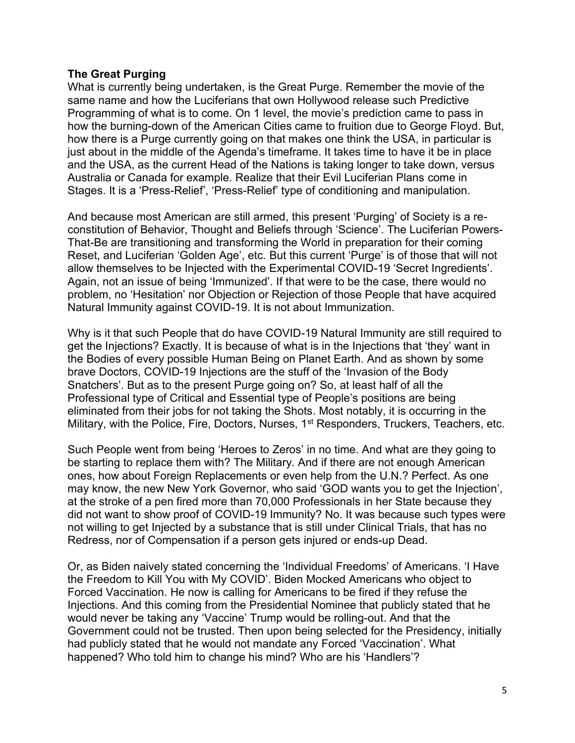## **The Great Purging**

What is currently being undertaken, is the Great Purge. Remember the movie of the same name and how the Luciferians that own Hollywood release such Predictive Programming of what is to come. On 1 level, the movie's prediction came to pass in how the burning-down of the American Cities came to fruition due to George Floyd. But, how there is a Purge currently going on that makes one think the USA, in particular is just about in the middle of the Agenda's timeframe. It takes time to have it be in place and the USA, as the current Head of the Nations is taking longer to take down, versus Australia or Canada for example. Realize that their Evil Luciferian Plans come in Stages. It is a 'Press-Relief', 'Press-Relief' type of conditioning and manipulation.

And because most American are still armed, this present 'Purging' of Society is a reconstitution of Behavior, Thought and Beliefs through 'Science'. The Luciferian Powers-That-Be are transitioning and transforming the World in preparation for their coming Reset, and Luciferian 'Golden Age', etc. But this current 'Purge' is of those that will not allow themselves to be Injected with the Experimental COVID-19 'Secret Ingredients'. Again, not an issue of being 'Immunized'. If that were to be the case, there would no problem, no 'Hesitation' nor Objection or Rejection of those People that have acquired Natural Immunity against COVID-19. It is not about Immunization.

Why is it that such People that do have COVID-19 Natural Immunity are still required to get the Injections? Exactly. It is because of what is in the Injections that 'they' want in the Bodies of every possible Human Being on Planet Earth. And as shown by some brave Doctors, COVID-19 Injections are the stuff of the 'Invasion of the Body Snatchers'. But as to the present Purge going on? So, at least half of all the Professional type of Critical and Essential type of People's positions are being eliminated from their jobs for not taking the Shots. Most notably, it is occurring in the Military, with the Police, Fire, Doctors, Nurses, 1<sup>st</sup> Responders, Truckers, Teachers, etc.

Such People went from being 'Heroes to Zeros' in no time. And what are they going to be starting to replace them with? The Military. And if there are not enough American ones, how about Foreign Replacements or even help from the U.N.? Perfect. As one may know, the new New York Governor, who said 'GOD wants you to get the Injection', at the stroke of a pen fired more than 70,000 Professionals in her State because they did not want to show proof of COVID-19 Immunity? No. It was because such types were not willing to get Injected by a substance that is still under Clinical Trials, that has no Redress, nor of Compensation if a person gets injured or ends-up Dead.

Or, as Biden naively stated concerning the 'Individual Freedoms' of Americans. 'I Have the Freedom to Kill You with My COVID'. Biden Mocked Americans who object to Forced Vaccination. He now is calling for Americans to be fired if they refuse the Injections. And this coming from the Presidential Nominee that publicly stated that he would never be taking any 'Vaccine' Trump would be rolling-out. And that the Government could not be trusted. Then upon being selected for the Presidency, initially had publicly stated that he would not mandate any Forced 'Vaccination'. What happened? Who told him to change his mind? Who are his 'Handlers'?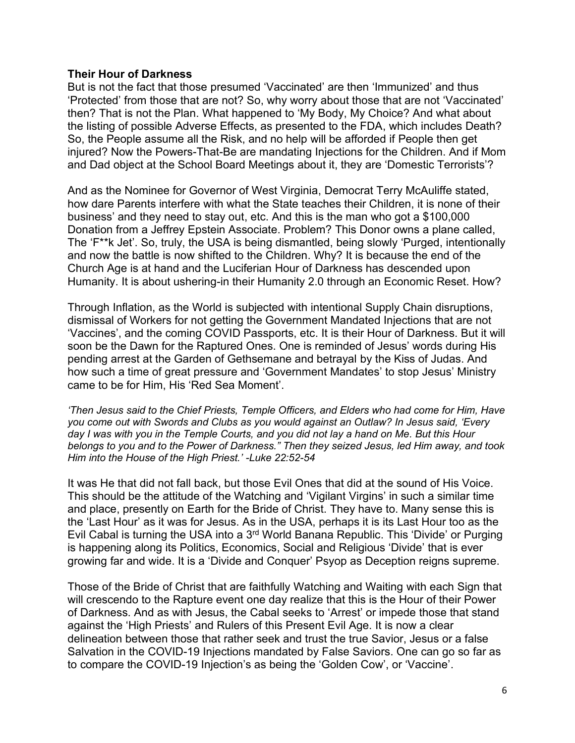## **Their Hour of Darkness**

But is not the fact that those presumed 'Vaccinated' are then 'Immunized' and thus 'Protected' from those that are not? So, why worry about those that are not 'Vaccinated' then? That is not the Plan. What happened to 'My Body, My Choice? And what about the listing of possible Adverse Effects, as presented to the FDA, which includes Death? So, the People assume all the Risk, and no help will be afforded if People then get injured? Now the Powers-That-Be are mandating Injections for the Children. And if Mom and Dad object at the School Board Meetings about it, they are 'Domestic Terrorists'?

And as the Nominee for Governor of West Virginia, Democrat Terry McAuliffe stated, how dare Parents interfere with what the State teaches their Children, it is none of their business' and they need to stay out, etc. And this is the man who got a \$100,000 Donation from a Jeffrey Epstein Associate. Problem? This Donor owns a plane called, The 'F\*\*k Jet'. So, truly, the USA is being dismantled, being slowly 'Purged, intentionally and now the battle is now shifted to the Children. Why? It is because the end of the Church Age is at hand and the Luciferian Hour of Darkness has descended upon Humanity. It is about ushering-in their Humanity 2.0 through an Economic Reset. How?

Through Inflation, as the World is subjected with intentional Supply Chain disruptions, dismissal of Workers for not getting the Government Mandated Injections that are not 'Vaccines', and the coming COVID Passports, etc. It is their Hour of Darkness. But it will soon be the Dawn for the Raptured Ones. One is reminded of Jesus' words during His pending arrest at the Garden of Gethsemane and betrayal by the Kiss of Judas. And how such a time of great pressure and 'Government Mandates' to stop Jesus' Ministry came to be for Him, His 'Red Sea Moment'.

*'Then Jesus said to the Chief Priests, Temple Officers, and Elders who had come for Him, Have you come out with Swords and Clubs as you would against an Outlaw? In Jesus said, 'Every day I was with you in the Temple Courts, and you did not lay a hand on Me. But this Hour belongs to you and to the Power of Darkness." Then they seized Jesus, led Him away, and took Him into the House of the High Priest.' -Luke 22:52-54*

It was He that did not fall back, but those Evil Ones that did at the sound of His Voice. This should be the attitude of the Watching and 'Vigilant Virgins' in such a similar time and place, presently on Earth for the Bride of Christ. They have to. Many sense this is the 'Last Hour' as it was for Jesus. As in the USA, perhaps it is its Last Hour too as the Evil Cabal is turning the USA into a 3rd World Banana Republic. This 'Divide' or Purging is happening along its Politics, Economics, Social and Religious 'Divide' that is ever growing far and wide. It is a 'Divide and Conquer' Psyop as Deception reigns supreme.

Those of the Bride of Christ that are faithfully Watching and Waiting with each Sign that will crescendo to the Rapture event one day realize that this is the Hour of their Power of Darkness. And as with Jesus, the Cabal seeks to 'Arrest' or impede those that stand against the 'High Priests' and Rulers of this Present Evil Age. It is now a clear delineation between those that rather seek and trust the true Savior, Jesus or a false Salvation in the COVID-19 Injections mandated by False Saviors. One can go so far as to compare the COVID-19 Injection's as being the 'Golden Cow', or 'Vaccine'.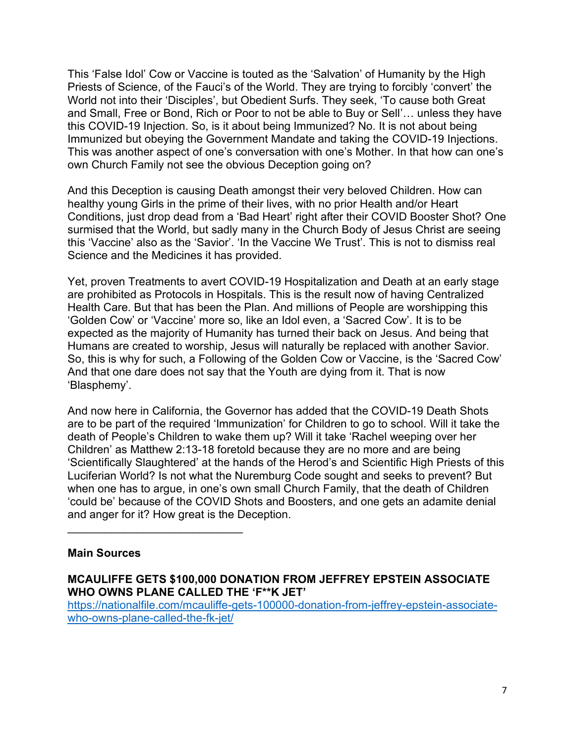This 'False Idol' Cow or Vaccine is touted as the 'Salvation' of Humanity by the High Priests of Science, of the Fauci's of the World. They are trying to forcibly 'convert' the World not into their 'Disciples', but Obedient Surfs. They seek, 'To cause both Great and Small, Free or Bond, Rich or Poor to not be able to Buy or Sell'… unless they have this COVID-19 Injection. So, is it about being Immunized? No. It is not about being Immunized but obeying the Government Mandate and taking the COVID-19 Injections. This was another aspect of one's conversation with one's Mother. In that how can one's own Church Family not see the obvious Deception going on?

And this Deception is causing Death amongst their very beloved Children. How can healthy young Girls in the prime of their lives, with no prior Health and/or Heart Conditions, just drop dead from a 'Bad Heart' right after their COVID Booster Shot? One surmised that the World, but sadly many in the Church Body of Jesus Christ are seeing this 'Vaccine' also as the 'Savior'. 'In the Vaccine We Trust'. This is not to dismiss real Science and the Medicines it has provided.

Yet, proven Treatments to avert COVID-19 Hospitalization and Death at an early stage are prohibited as Protocols in Hospitals. This is the result now of having Centralized Health Care. But that has been the Plan. And millions of People are worshipping this 'Golden Cow' or 'Vaccine' more so, like an Idol even, a 'Sacred Cow'. It is to be expected as the majority of Humanity has turned their back on Jesus. And being that Humans are created to worship, Jesus will naturally be replaced with another Savior. So, this is why for such, a Following of the Golden Cow or Vaccine, is the 'Sacred Cow' And that one dare does not say that the Youth are dying from it. That is now 'Blasphemy'.

And now here in California, the Governor has added that the COVID-19 Death Shots are to be part of the required 'Immunization' for Children to go to school. Will it take the death of People's Children to wake them up? Will it take 'Rachel weeping over her Children' as Matthew 2:13-18 foretold because they are no more and are being 'Scientifically Slaughtered' at the hands of the Herod's and Scientific High Priests of this Luciferian World? Is not what the Nuremburg Code sought and seeks to prevent? But when one has to argue, in one's own small Church Family, that the death of Children 'could be' because of the COVID Shots and Boosters, and one gets an adamite denial and anger for it? How great is the Deception.

## **Main Sources**

\_\_\_\_\_\_\_\_\_\_\_\_\_\_\_\_\_\_\_\_\_\_\_\_\_\_\_\_

**MCAULIFFE GETS \$100,000 DONATION FROM JEFFREY EPSTEIN ASSOCIATE WHO OWNS PLANE CALLED THE 'F\*\*K JET'**

[https://nationalfile.com/mcauliffe-gets-100000-donation-from-jeffrey-epstein-associate](https://nationalfile.com/mcauliffe-gets-100000-donation-from-jeffrey-epstein-associate-who-owns-plane-called-the-fk-jet/)[who-owns-plane-called-the-fk-jet/](https://nationalfile.com/mcauliffe-gets-100000-donation-from-jeffrey-epstein-associate-who-owns-plane-called-the-fk-jet/)